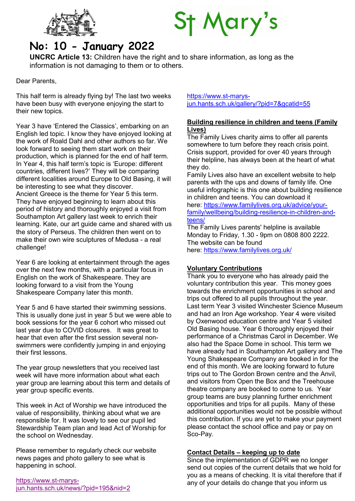



# No: 10 - January 2022

UNCRC Article 13: Children have the right and to share information, as long as the information is not damaging to them or to others.

Dear Parents,

This half term is already flying by! The last two weeks have been busy with everyone enjoying the start to their new topics.

Year 3 have 'Entered the Classics', embarking on an English led topic. I know they have enjoyed looking at the work of Roald Dahl and other authors so far. We look forward to seeing them start work on their production, which is planned for the end of half term. In Year 4, this half term's topic is 'Europe: different countries, different lives?' They will be comparing different localities around Europe to Old Basing, it will be interesting to see what they discover. Ancient Greece is the theme for Year 5 this term. They have enjoyed beginning to learn about this period of history and thoroughly enjoyed a visit from Southampton Art gallery last week to enrich their learning. Kate, our art guide came and shared with us the story of Perseus. The children then went on to make their own wire sculptures of Medusa - a real challenge!

Year 6 are looking at entertainment through the ages over the next few months, with a particular focus in English on the work of Shakespeare. They are looking forward to a visit from the Young Shakespeare Company later this month.

Year 5 and 6 have started their swimming sessions. This is usually done just in year 5 but we were able to book sessions for the year 6 cohort who missed out last year due to COVID closures. It was great to hear that even after the first session several nonswimmers were confidently jumping in and enjoying their first lessons.

The year group newsletters that you received last week will have more information about what each year group are learning about this term and details of year group specific events.

This week in Act of Worship we have introduced the value of responsibility, thinking about what we are responsible for. It was lovely to see our pupil led Stewardship Team plan and lead Act of Worship for the school on Wednesday.

Please remember to regularly check our website news pages and photo gallery to see what is happening in school.

https://www.st-marysjun.hants.sch.uk/news/?pid=195&nid=2 https://www.st-marysjun.hants.sch.uk/gallery/?pid=7&gcatid=55

#### Building resilience in children and teens (Family Lives)

The Family Lives charity aims to offer all parents somewhere to turn before they reach crisis point. Crisis support, provided for over 40 years through their helpline, has always been at the heart of what they do.

Family Lives also have an excellent website to help parents with the ups and downs of family life. One useful infographic is this one about building resilience in children and teens. You can download it here: https://www.familylives.org.uk/advice/yourfamily/wellbeing/building-resilience-in-children-andteens/

The Family Lives parents' helpline is available Monday to Friday, 1.30 - 9pm on 0808 800 2222. The website can be found here: https://www.familylives.org.uk/

## Voluntary Contributions

Thank you to everyone who has already paid the voluntary contribution this year. This money goes towards the enrichment opportunities in school and trips out offered to all pupils throughout the year. Last term Year 3 visited Winchester Science Museum and had an Iron Age workshop. Year 4 were visited by Oxenwood education centre and Year 5 visited Old Basing house. Year 6 thoroughly enjoyed their performance of a Christmas Carol in December. We also had the Space Dome in school. This term we have already had in Southampton Art gallery and The Young Shakespeare Company are booked in for the end of this month. We are looking forward to future trips out to The Gordon Brown centre and the Anvil, and visitors from Open the Box and the Treehouse theatre company are booked to come to us. Year group teams are busy planning further enrichment opportunities and trips for all pupils. Many of these additional opportunities would not be possible without this contribution. If you are yet to make your payment please contact the school office and pay or pay on Sco-Pay.

## Contact Details – keeping up to date

Since the implementation of GDPR we no longer send out copies of the current details that we hold for you as a means of checking. It is vital therefore that if any of your details do change that you inform us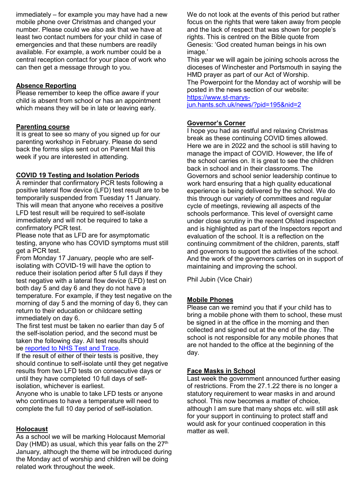immediately – for example you may have had a new mobile phone over Christmas and changed your number. Please could we also ask that we have at least two contact numbers for your child in case of emergencies and that these numbers are readily available. For example, a work number could be a central reception contact for your place of work who can then get a message through to you.

## Absence Reporting

Please remember to keep the office aware if your child is absent from school or has an appointment which means they will be in late or leaving early.

#### Parenting course

It is great to see so many of you signed up for our parenting workshop in February. Please do send back the forms slips sent out on Parent Mail this week if you are interested in attending.

#### COVID 19 Testing and Isolation Periods

A reminder that confirmatory PCR tests following a positive lateral flow device (LFD) test result are to be temporarily suspended from Tuesday 11 January. This will mean that anyone who receives a positive LFD test result will be required to self-isolate immediately and will not be required to take a confirmatory PCR test.

Please note that as LFD are for asymptomatic testing, anyone who has COVID symptoms must still get a PCR test.

From Monday 17 January, people who are selfisolating with COVID-19 will have the option to reduce their isolation period after 5 full days if they test negative with a lateral flow device (LFD) test on both day 5 and day 6 and they do not have a temperature. For example, if they test negative on the morning of day 5 and the morning of day 6, they can return to their education or childcare setting immediately on day 6.

The first test must be taken no earlier than day 5 of the self-isolation period, and the second must be taken the following day. All test results should be reported to NHS Test and Trace.

If the result of either of their tests is positive, they should continue to self-isolate until they get negative results from two LFD tests on consecutive days or until they have completed 10 full days of selfisolation, whichever is earliest.

Anyone who is unable to take LFD tests or anyone who continues to have a temperature will need to complete the full 10 day period of self-isolation.

## Holocaust

As a school we will be marking Holocaust Memorial Day (HMD) as usual, which this year falls on the  $27<sup>th</sup>$ January, although the theme will be introduced during the Monday act of worship and children will be doing related work throughout the week.

We do not look at the events of this period but rather focus on the rights that were taken away from people and the lack of respect that was shown for people's rights. This is centred on the Bible quote from Genesis: 'God created human beings in his own image.'

This year we will again be joining schools across the dioceses of Winchester and Portsmouth in saying the HMD prayer as part of our Act of Worship.

The Powerpoint for the Monday act of worship will be posted in the news section of our website:

https://www.st-marys-

jun.hants.sch.uk/news/?pid=195&nid=2

## Governor's Corner

I hope you had as restful and relaxing Christmas break as these continuing COVID times allowed. Here we are in 2022 and the school is still having to manage the impact of COVID. However, the life of the school carries on. It is great to see the children back in school and in their classrooms. The Governors and school senior leadership continue to work hard ensuring that a high quality educational experience is being delivered by the school. We do this through our variety of committees and regular cycle of meetings, reviewing all aspects of the schools performance. This level of oversight came under close scrutiny in the recent Ofsted inspection and is highlighted as part of the Inspectors report and evaluation of the school. It is a reflection on the continuing commitment of the children, parents, staff and governors to support the activities of the school. And the work of the governors carries on in support of maintaining and improving the school.

Phil Jubin (Vice Chair)

## Mobile Phones

Please can we remind you that if your child has to bring a mobile phone with them to school, these must be signed in at the office in the morning and then collected and signed out at the end of the day. The school is not responsible for any mobile phones that are not handed to the office at the beginning of the day.

## Face Masks in School

Last week the government announced further easing of restrictions. From the 27.1.22 there is no longer a statutory requirement to wear masks in and around school. This now becomes a matter of choice, although I am sure that many shops etc. will still ask for your support in continuing to protect staff and would ask for your continued cooperation in this matter as well.